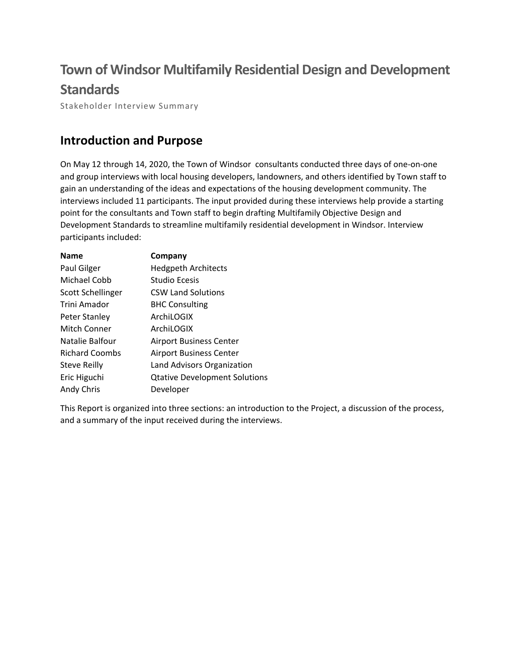# **Town of Windsor Multifamily Residential Design and Development Standards**

Stakeholder Interview Summary

## **Introduction and Purpose**

On May 12 through 14, 2020, the Town of Windsor consultants conducted three days of one‐on‐one and group interviews with local housing developers, landowners, and others identified by Town staff to gain an understanding of the ideas and expectations of the housing development community. The interviews included 11 participants. The input provided during these interviews help provide a starting point for the consultants and Town staff to begin drafting Multifamily Objective Design and Development Standards to streamline multifamily residential development in Windsor. Interview participants included:

| <b>Name</b>           | Company                              |
|-----------------------|--------------------------------------|
| Paul Gilger           | <b>Hedgpeth Architects</b>           |
| Michael Cobb          | Studio Ecesis                        |
| Scott Schellinger     | <b>CSW Land Solutions</b>            |
| Trini Amador          | <b>BHC Consulting</b>                |
| Peter Stanley         | ArchiLOGIX                           |
| Mitch Conner          | ArchiLOGIX                           |
| Natalie Balfour       | <b>Airport Business Center</b>       |
| <b>Richard Coombs</b> | <b>Airport Business Center</b>       |
| <b>Steve Reilly</b>   | Land Advisors Organization           |
| Eric Higuchi          | <b>Qtative Development Solutions</b> |
| Andy Chris            | Developer                            |

This Report is organized into three sections: an introduction to the Project, a discussion of the process, and a summary of the input received during the interviews.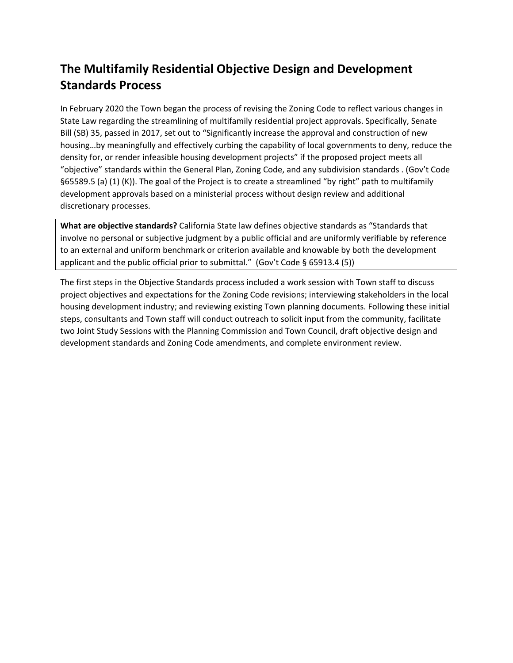# **The Multifamily Residential Objective Design and Development Standards Process**

In February 2020 the Town began the process of revising the Zoning Code to reflect various changes in State Law regarding the streamlining of multifamily residential project approvals. Specifically, Senate Bill (SB) 35, passed in 2017, set out to "Significantly increase the approval and construction of new housing…by meaningfully and effectively curbing the capability of local governments to deny, reduce the density for, or render infeasible housing development projects" if the proposed project meets all "objective" standards within the General Plan, Zoning Code, and any subdivision standards . (Gov't Code §65589.5 (a) (1) (K)). The goal of the Project is to create a streamlined "by right" path to multifamily development approvals based on a ministerial process without design review and additional discretionary processes.

**What are objective standards?** California State law defines objective standards as "Standards that involve no personal or subjective judgment by a public official and are uniformly verifiable by reference to an external and uniform benchmark or criterion available and knowable by both the development applicant and the public official prior to submittal." (Gov't Code § 65913.4 (5))

The first steps in the Objective Standards process included a work session with Town staff to discuss project objectives and expectations for the Zoning Code revisions; interviewing stakeholders in the local housing development industry; and reviewing existing Town planning documents. Following these initial steps, consultants and Town staff will conduct outreach to solicit input from the community, facilitate two Joint Study Sessions with the Planning Commission and Town Council, draft objective design and development standards and Zoning Code amendments, and complete environment review.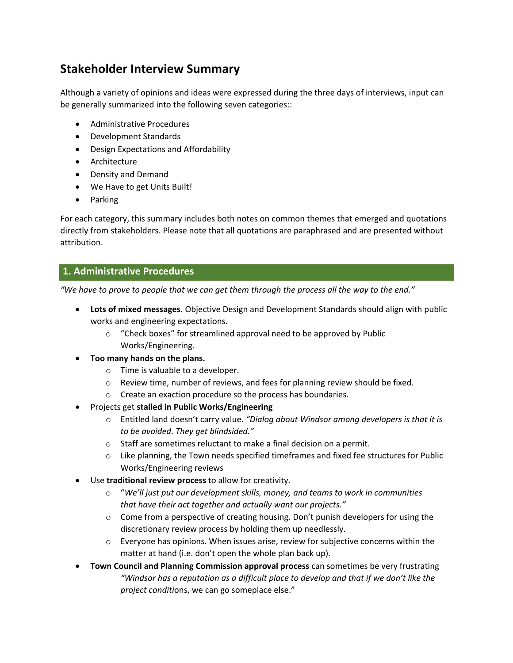## **Stakeholder Interview Summary**

Although a variety of opinions and ideas were expressed during the three days of interviews, input can be generally summarized into the following seven categories::

- Administrative Procedures
- Development Standards
- Design Expectations and Affordability
- **•** Architecture
- Density and Demand
- We Have to get Units Built!
- Parking

For each category, this summary includes both notes on common themes that emerged and quotations directly from stakeholders. Please note that all quotations are paraphrased and are presented without attribution.

### **1. Administrative Procedures**

"We have to prove to people that we can get them through the process all the way to the end."

- **Lots of mixed messages.** Objective Design and Development Standards should align with public works and engineering expectations.
	- o "Check boxes" for streamlined approval need to be approved by Public Works/Engineering.
- **Too many hands on the plans.**
	- o Time is valuable to a developer.
	- o Review time, number of reviews, and fees for planning review should be fixed.
	- o Create an exaction procedure so the process has boundaries.
- Projects get **stalled in Public Works/Engineering**
	- o Entitled land doesn't carry value. *"Dialog about Windsor among developers is that it is to be avoided. They get blindsided."*
	- o Staff are sometimes reluctant to make a final decision on a permit.
	- $\circ$  Like planning, the Town needs specified timeframes and fixed fee structures for Public Works/Engineering reviews
- Use **traditional review process** to allow for creativity.
	- o "*We'll just put our development skills, money, and teams to work in communities that have their act together and actually want our projects."*
	- $\circ$  Come from a perspective of creating housing. Don't punish developers for using the discretionary review process by holding them up needlessly.
	- $\circ$  Everyone has opinions. When issues arise, review for subjective concerns within the matter at hand (i.e. don't open the whole plan back up).
- **Town Council and Planning Commission approval process** can sometimes be very frustrating *"Windsor has a reputation as a difficult place to develop and that if we don't like the project conditi*ons, we can go someplace else."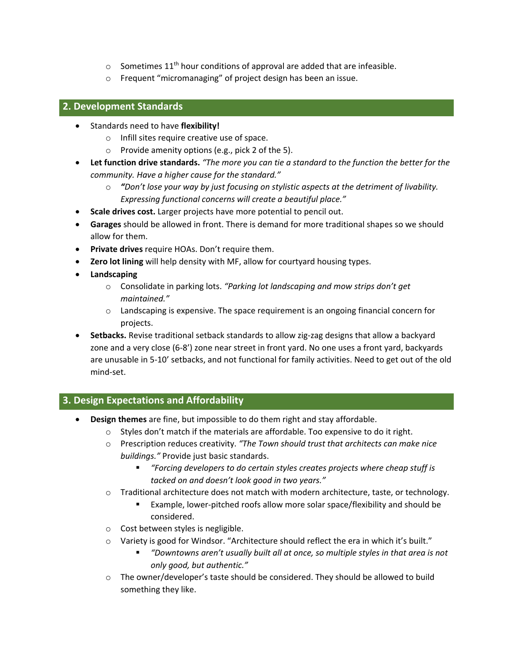- $\circ$  Sometimes 11<sup>th</sup> hour conditions of approval are added that are infeasible.
- o Frequent "micromanaging" of project design has been an issue.

#### **2. Development Standards**

- Standards need to have **flexibility!**
	- o Infill sites require creative use of space.
	- o Provide amenity options (e.g., pick 2 of the 5).
- **Let function drive standards.** *"The more you can tie a standard to the function the better for the community. Have a higher cause for the standard."*
	- o *"Don't lose your way by just focusing on stylistic aspects at the detriment of livability. Expressing functional concerns will create a beautiful place."*
- **Scale drives cost.** Larger projects have more potential to pencil out.
- **Garages** should be allowed in front. There is demand for more traditional shapes so we should allow for them.
- **Private drives** require HOAs. Don't require them.
- **Zero lot lining** will help density with MF, allow for courtyard housing types.
- **Landscaping**
	- o Consolidate in parking lots. *"Parking lot landscaping and mow strips don't get maintained."*
	- o Landscaping is expensive. The space requirement is an ongoing financial concern for projects.
- **Setbacks.** Revise traditional setback standards to allow zig-zag designs that allow a backyard zone and a very close (6‐8') zone near street in front yard. No one uses a front yard, backyards are unusable in 5‐10' setbacks, and not functional for family activities. Need to get out of the old mind‐set.

#### **3. Design Expectations and Affordability**

- **Design themes** are fine, but impossible to do them right and stay affordable.
	- $\circ$  Styles don't match if the materials are affordable. Too expensive to do it right.
	- o Prescription reduces creativity. *"The Town should trust that architects can make nice buildings."* Provide just basic standards.
		- *"Forcing developers to do certain styles creates projects where cheap stuff is tacked on and doesn't look good in two years."*
	- o Traditional architecture does not match with modern architecture, taste, or technology.
		- Example, lower‐pitched roofs allow more solar space/flexibility and should be considered.
	- o Cost between styles is negligible.
	- $\circ$  Variety is good for Windsor. "Architecture should reflect the era in which it's built."
		- *"Downtowns aren't usually built all at once, so multiple styles in that area is not only good, but authentic."*
	- o The owner/developer's taste should be considered. They should be allowed to build something they like.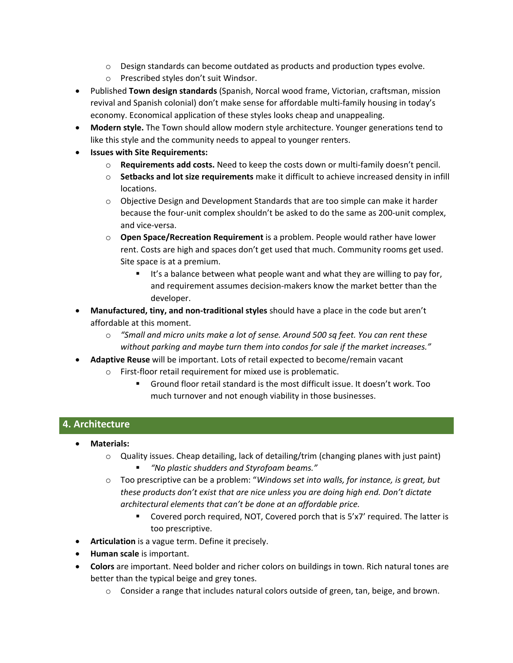- $\circ$  Design standards can become outdated as products and production types evolve.
- o Prescribed styles don't suit Windsor.
- Published **Town design standards** (Spanish, Norcal wood frame, Victorian, craftsman, mission revival and Spanish colonial) don't make sense for affordable multi‐family housing in today's economy. Economical application of these styles looks cheap and unappealing.
- **Modern style.** The Town should allow modern style architecture. Younger generations tend to like this style and the community needs to appeal to younger renters.
- **Issues with Site Requirements:**
	- o **Requirements add costs.** Need to keep the costs down or multi‐family doesn't pencil.
	- o **Setbacks and lot size requirements** make it difficult to achieve increased density in infill locations.
	- o Objective Design and Development Standards that are too simple can make it harder because the four‐unit complex shouldn't be asked to do the same as 200‐unit complex, and vice‐versa.
	- o **Open Space/Recreation Requirement** is a problem. People would rather have lower rent. Costs are high and spaces don't get used that much. Community rooms get used. Site space is at a premium.
		- $\blacksquare$  It's a balance between what people want and what they are willing to pay for, and requirement assumes decision‐makers know the market better than the developer.
- **Manufactured, tiny, and non‐traditional styles** should have a place in the code but aren't affordable at this moment.
	- o *"Small and micro units make a lot of sense. Around 500 sq feet. You can rent these without parking and maybe turn them into condos for sale if the market increases."*
- **Adaptive Reuse** will be important. Lots of retail expected to become/remain vacant
	- o First‐floor retail requirement for mixed use is problematic.
		- Ground floor retail standard is the most difficult issue. It doesn't work. Too much turnover and not enough viability in those businesses.

## **4. Architecture**

- **Materials:**
	- $\circ$  Quality issues. Cheap detailing, lack of detailing/trim (changing planes with just paint) *"No plastic shudders and Styrofoam beams."*
	- o Too prescriptive can be a problem: "*Windows set into walls, for instance, is great, but these products don't exist that are nice unless you are doing high end. Don't dictate architectural elements that can't be done at an affordable price.*
		- Covered porch required, NOT, Covered porch that is 5'x7' required. The latter is too prescriptive.
- **Articulation** is a vague term. Define it precisely.
- **Human scale** is important.
- **Colors** are important. Need bolder and richer colors on buildings in town. Rich natural tones are better than the typical beige and grey tones.
	- o Consider a range that includes natural colors outside of green, tan, beige, and brown.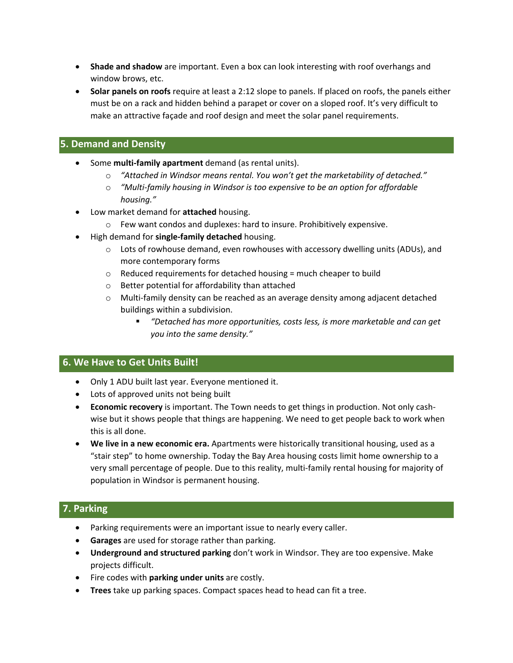- **Shade and shadow** are important. Even a box can look interesting with roof overhangs and window brows, etc.
- **Solar panels on roofs** require at least a 2:12 slope to panels. If placed on roofs, the panels either must be on a rack and hidden behind a parapet or cover on a sloped roof. It's very difficult to make an attractive façade and roof design and meet the solar panel requirements.

### **5. Demand and Density**

- Some **multi‐family apartment** demand (as rental units).
	- o *"Attached in Windsor means rental. You won't get the marketability of detached."*
	- o *"Multi‐family housing in Windsor is too expensive to be an option for affordable housing."*
- Low market demand for **attached** housing.
	- o Few want condos and duplexes: hard to insure. Prohibitively expensive.
- High demand for **single‐family detached** housing.
	- $\circ$  Lots of rowhouse demand, even rowhouses with accessory dwelling units (ADUs), and more contemporary forms
	- $\circ$  Reduced requirements for detached housing = much cheaper to build
	- o Better potential for affordability than attached
	- o Multi‐family density can be reached as an average density among adjacent detached buildings within a subdivision.
		- *"Detached has more opportunities, costs less, is more marketable and can get you into the same density."*

#### **6. We Have to Get Units Built!**

- Only 1 ADU built last year. Everyone mentioned it.
- Lots of approved units not being built
- **Economic recovery** is important. The Town needs to get things in production. Not only cash‐ wise but it shows people that things are happening. We need to get people back to work when this is all done.
- **We live in a new economic era.** Apartments were historically transitional housing, used as a "stair step" to home ownership. Today the Bay Area housing costs limit home ownership to a very small percentage of people. Due to this reality, multi‐family rental housing for majority of population in Windsor is permanent housing.

## **7. Parking**

- Parking requirements were an important issue to nearly every caller.
- **Garages** are used for storage rather than parking.
- **Underground and structured parking** don't work in Windsor. They are too expensive. Make projects difficult.
- Fire codes with **parking under units** are costly.
- **Trees** take up parking spaces. Compact spaces head to head can fit a tree.